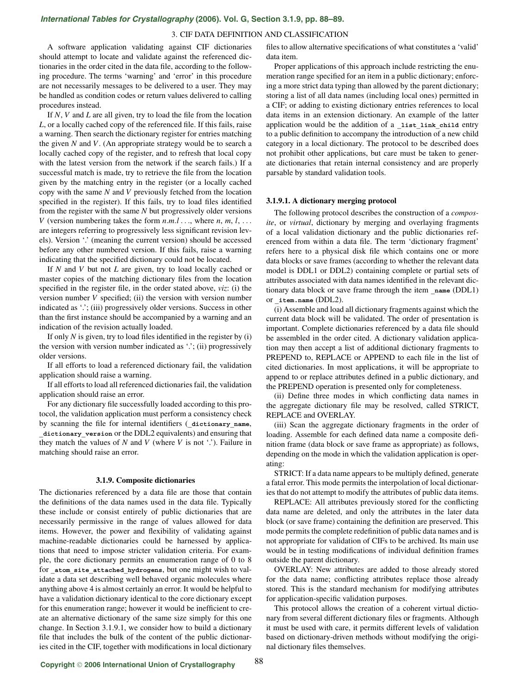# *[International Tables for Crystallography](http://it.iucr.org/Ga/ch3o1v0001/sec3o1o9/)* **(2006). Vol. G, Section 3.1.9, pp. 88–89.**

## 3. CIF DATA DEFINITION AND CLASSIFICATION

A software application validating against CIF dictionaries should attempt to locate and validate against the referenced dictionaries in the order cited in the data file, according to the following procedure. The terms 'warning' and 'error' in this procedure are not necessarily messages to be delivered to a user. They may be handled as condition codes or return values delivered to calling procedures instead.

If *N*, *V* and *L* are all given, try to load the file from the location *L*, or a locally cached copy of the referenced file. If this fails, raise a warning. Then search the dictionary register for entries matching the given *N* and *V*. (An appropriate strategy would be to search a locally cached copy of the register, and to refresh that local copy with the latest version from the network if the search fails.) If a successful match is made, try to retrieve the file from the location given by the matching entry in the register (or a locally cached copy with the same *N* and *V* previously fetched from the location specified in the register). If this fails, try to load files identified from the register with the same *N* but progressively older versions *V* (version numbering takes the form  $n.m.l \ldots$ , where  $n, m, l, \ldots$ are integers referring to progressively less significant revision levels). Version '.' (meaning the current version) should be accessed before any other numbered version. If this fails, raise a warning indicating that the specified dictionary could not be located.

If *N* and *V* but not *L* are given, try to load locally cached or master copies of the matching dictionary files from the location specified in the register file, in the order stated above, *viz*: (i) the version number *V* specified; (ii) the version with version number indicated as '.'; (iii) progressively older versions. Success in other than the first instance should be accompanied by a warning and an indication of the revision actually loaded.

If only  $N$  is given, try to load files identified in the register by  $(i)$ the version with version number indicated as '.'; (ii) progressively older versions.

If all efforts to load a referenced dictionary fail, the validation application should raise a warning.

If all efforts to load all referenced dictionaries fail, the validation application should raise an error.

For any dictionary file successfully loaded according to this protocol, the validation application must perform a consistency check by scanning the file for internal identifiers (**\_dictionary\_name**, **\_dictionary\_version** or the DDL2 equivalents) and ensuring that they match the values of  $N$  and  $V$  (where  $V$  is not  $\cdot$ .). Failure in matching should raise an error.

#### **3.1.9. Composite dictionaries**

The dictionaries referenced by a data file are those that contain the definitions of the data names used in the data file. Typically these include or consist entirely of public dictionaries that are necessarily permissive in the range of values allowed for data items. However, the power and flexibility of validating against machine-readable dictionaries could be harnessed by applications that need to impose stricter validation criteria. For example, the core dictionary permits an enumeration range of 0 to 8 for **\_atom\_site\_attached\_hydrogens**, but one might wish to validate a data set describing well behaved organic molecules where anything above 4 is almost certainly an error. It would be helpful to have a validation dictionary identical to the core dictionary except for this enumeration range; however it would be inefficient to create an alternative dictionary of the same size simply for this one change. In Section 3.1.9.1, we consider how to build a dictionary file that includes the bulk of the content of the public dictionaries cited in the CIF, together with modifications in local dictionary

files to allow alternative specifications of what constitutes a 'valid' data item.

Proper applications of this approach include restricting the enumeration range specified for an item in a public dictionary; enforcing a more strict data typing than allowed by the parent dictionary; storing a list of all data names (including local ones) permitted in a CIF; or adding to existing dictionary entries references to local data items in an extension dictionary. An example of the latter application would be the addition of a **list link** child entry to a public definition to accompany the introduction of a new child category in a local dictionary. The protocol to be described does not prohibit other applications, but care must be taken to generate dictionaries that retain internal consistency and are properly parsable by standard validation tools.

#### **3.1.9.1. A dictionary merging protocol**

The following protocol describes the construction of a *composite*, or *virtual*, dictionary by merging and overlaying fragments of a local validation dictionary and the public dictionaries referenced from within a data file. The term 'dictionary fragment' refers here to a physical disk file which contains one or more data blocks or save frames (according to whether the relevant data model is DDL1 or DDL2) containing complete or partial sets of attributes associated with data names identified in the relevant dictionary data block or save frame through the item name (DDL1) or **\_item.name** (DDL2).

(i) Assemble and load all dictionary fragments against which the current data block will be validated. The order of presentation is important. Complete dictionaries referenced by a data file should be assembled in the order cited. A dictionary validation application may then accept a list of additional dictionary fragments to PREPEND to, REPLACE or APPEND to each file in the list of cited dictionaries. In most applications, it will be appropriate to append to or replace attributes defined in a public dictionary, and the PREPEND operation is presented only for completeness.

(ii) Define three modes in which conflicting data names in the aggregate dictionary file may be resolved, called STRICT, REPLACE and OVERLAY.

(iii) Scan the aggregate dictionary fragments in the order of loading. Assemble for each defined data name a composite definition frame (data block or save frame as appropriate) as follows, depending on the mode in which the validation application is operating:

STRICT: If a data name appears to be multiply defined, generate a fatal error. This mode permits the interpolation of local dictionaries that do not attempt to modify the attributes of public data items.

REPLACE: All attributes previously stored for the conflicting data name are deleted, and only the attributes in the later data block (or save frame) containing the definition are preserved. This mode permits the complete redefinition of public data names and is not appropriate for validation of CIFs to be archived. Its main use would be in testing modifications of individual definition frames outside the parent dictionary.

OVERLAY: New attributes are added to those already stored for the data name; conflicting attributes replace those already stored. This is the standard mechanism for modifying attributes for application-specific validation purposes.

This protocol allows the creation of a coherent virtual dictionary from several different dictionary files or fragments. Although it must be used with care, it permits different levels of validation based on dictionary-driven methods without modifying the original dictionary files themselves.

**Copyright** © **2006 International Union of Crystallography**